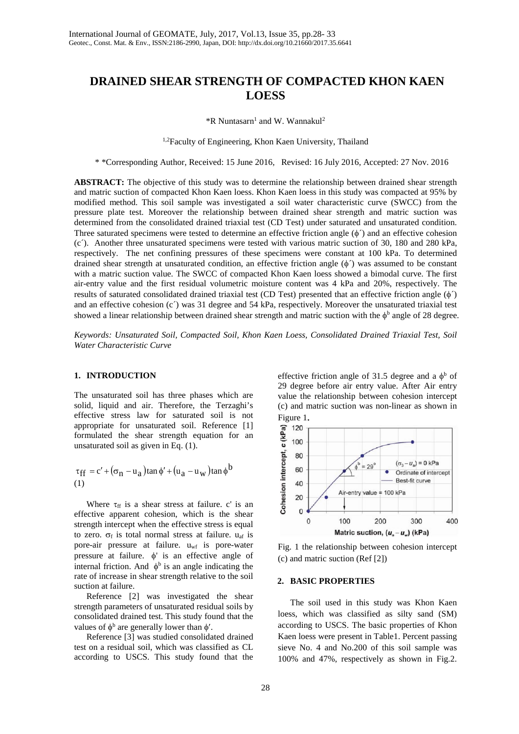# **DRAINED SHEAR STRENGTH OF COMPACTED KHON KAEN LOESS**

 $*R$  Nuntasarn<sup>1</sup> and W. Wannakul<sup>2</sup>

<sup>1,2</sup> Faculty of Engineering, Khon Kaen University, Thailand

\* \*Corresponding Author, Received: 15 June 2016, Revised: 16 July 2016, Accepted: 27 Nov. 2016

**ABSTRACT:** The objective of this study was to determine the relationship between drained shear strength and matric suction of compacted Khon Kaen loess. Khon Kaen loess in this study was compacted at 95% by modified method. This soil sample was investigated a soil water characteristic curve (SWCC) from the pressure plate test. Moreover the relationship between drained shear strength and matric suction was determined from the consolidated drained triaxial test (CD Test) under saturated and unsaturated condition. Three saturated specimens were tested to determine an effective friction angle  $(\phi')$  and an effective cohesion (c´). Another three unsaturated specimens were tested with various matric suction of 30, 180 and 280 kPa, respectively. The net confining pressures of these specimens were constant at 100 kPa. To determined drained shear strength at unsaturated condition, an effective friction angle  $(\phi')$  was assumed to be constant with a matric suction value. The SWCC of compacted Khon Kaen loess showed a bimodal curve. The first air-entry value and the first residual volumetric moisture content was 4 kPa and 20%, respectively. The results of saturated consolidated drained triaxial test (CD Test) presented that an effective friction angle (φ´) and an effective cohesion (c´) was 31 degree and 54 kPa, respectively. Moreover the unsaturated triaxial test showed a linear relationship between drained shear strength and matric suction with the  $\phi^b$  angle of 28 degree.

*Keywords: Unsaturated Soil, Compacted Soil, Khon Kaen Loess, Consolidated Drained Triaxial Test, Soil Water Characteristic Curve*

### **1. INTRODUCTION**

The unsaturated soil has three phases which are solid, liquid and air. Therefore, the Terzaghi's effective stress law for saturated soil is not appropriate for unsaturated soil. Reference [1] formulated the shear strength equation for an unsaturated soil as given in Eq. (1).

$$
\tau_{\rm ff} = c' + (\sigma_{\rm n} - u_{\rm a}) \tan \phi' + (u_{\rm a} - u_{\rm w}) \tan \phi^{\rm b}
$$
  
(1)

Where  $\tau_{\text{ff}}$  is a shear stress at failure. c' is an effective apparent cohesion, which is the shear strength intercept when the effective stress is equal to zero.  $\sigma_f$  is total normal stress at failure.  $u_{af}$  is pore-air pressure at failure. uwf is pore-water pressure at failure. φ' is an effective angle of internal friction. And  $\phi^b$  is an angle indicating the rate of increase in shear strength relative to the soil suction at failure.

Reference [2] was investigated the shear strength parameters of unsaturated residual soils by consolidated drained test. This study found that the values of  $\phi^b$  are generally lower than  $\phi'$ .

Reference [3] was studied consolidated drained test on a residual soil, which was classified as CL according to USCS. This study found that the

effective friction angle of 31.5 degree and a  $\phi^b$  of 29 degree before air entry value. After Air entry value the relationship between cohesion intercept (c) and matric suction was non-linear as shown in Figure 1.



Fig. 1 the relationship between cohesion intercept (c) and matric suction (Ref [2])

#### **2. BASIC PROPERTIES**

The soil used in this study was Khon Kaen loess, which was classified as silty sand (SM) according to USCS. The basic properties of Khon Kaen loess were present in Table1. Percent passing sieve No. 4 and No.200 of this soil sample was 100% and 47%, respectively as shown in Fig.2.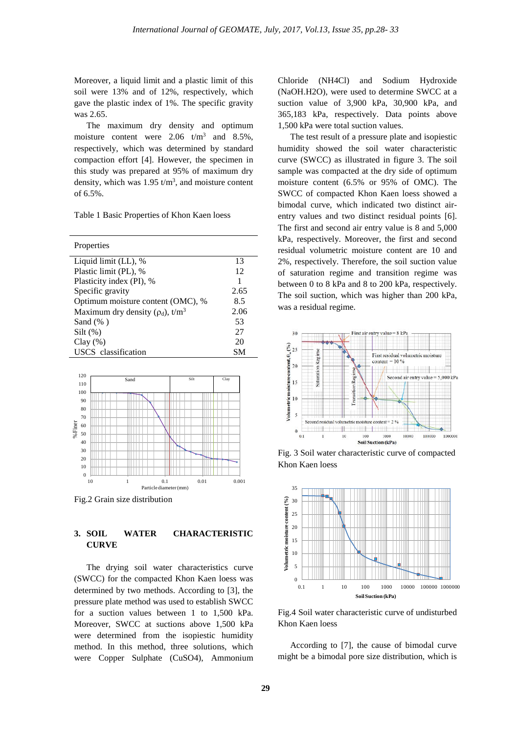Moreover, a liquid limit and a plastic limit of this soil were 13% and of 12%, respectively, which gave the plastic index of 1%. The specific gravity was 2.65.

The maximum dry density and optimum moisture content were  $2.06$  t/m<sup>3</sup> and  $8.5\%$ , respectively, which was determined by standard compaction effort [4]. However, the specimen in this study was prepared at 95% of maximum dry density, which was  $1.95 \text{ t/m}^3$ , and moisture content of 6.5%.

Table 1 Basic Properties of Khon Kaen loess

| Properties                                         |      |
|----------------------------------------------------|------|
| Liquid limit (LL), %                               | 13   |
| Plastic limit (PL), %                              | 12   |
| Plasticity index (PI), %                           | 1    |
| Specific gravity                                   | 2.65 |
| Optimum moisture content (OMC), %                  | 8.5  |
| Maximum dry density ( $\rho_d$ ), t/m <sup>3</sup> | 2.06 |
| Sand $(\%$ )                                       | 53   |
| $Silt(\%)$                                         | 27   |
| $Clay(\%)$                                         | 20   |
| USCS classification                                | SМ   |



Fig.2 Grain size distribution

#### **3. SOIL WATER CHARACTERISTIC CURVE**

The drying soil water characteristics curve (SWCC) for the compacted Khon Kaen loess was determined by two methods. According to [3], the pressure plate method was used to establish SWCC for a suction values between 1 to 1,500 kPa. Moreover, SWCC at suctions above 1,500 kPa were determined from the isopiestic humidity method. In this method, three solutions, which were Copper Sulphate (CuSO4), Ammonium Chloride (NH4Cl) and Sodium Hydroxide (NaOH.H2O), were used to determine SWCC at a suction value of 3,900 kPa, 30,900 kPa, and 365,183 kPa, respectively. Data points above 1,500 kPa were total suction values.

The test result of a pressure plate and isopiestic humidity showed the soil water characteristic curve (SWCC) as illustrated in figure 3. The soil sample was compacted at the dry side of optimum moisture content (6.5% or 95% of OMC). The SWCC of compacted Khon Kaen loess showed a bimodal curve, which indicated two distinct airentry values and two distinct residual points [6]. The first and second air entry value is 8 and 5,000 kPa, respectively. Moreover, the first and second residual volumetric moisture content are 10 and 2%, respectively. Therefore, the soil suction value of saturation regime and transition regime was between 0 to 8 kPa and 8 to 200 kPa, respectively. The soil suction, which was higher than 200 kPa, was a residual regime.



Fig. 3 Soil water characteristic curve of compacted Khon Kaen loess



Fig.4 Soil water characteristic curve of undisturbed Khon Kaen loess

According to [7], the cause of bimodal curve might be a bimodal pore size distribution, which is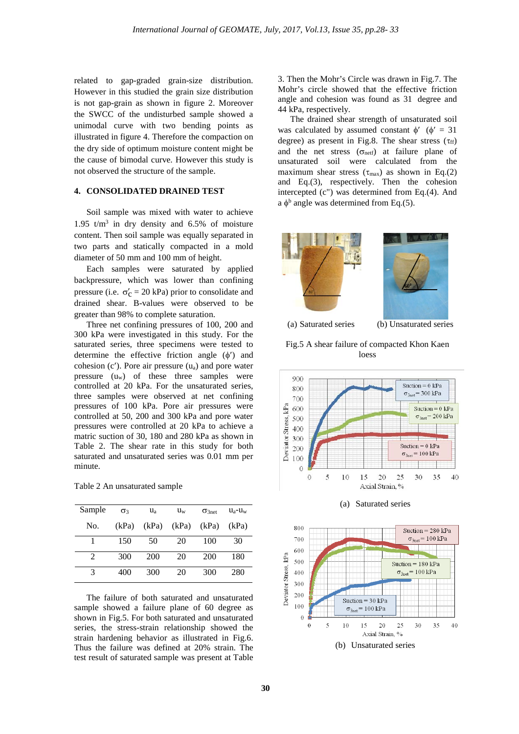related to gap-graded grain-size distribution. However in this studied the grain size distribution is not gap-grain as shown in figure 2. Moreover the SWCC of the undisturbed sample showed a unimodal curve with two bending points as illustrated in figure 4. Therefore the compaction on the dry side of optimum moisture content might be the cause of bimodal curve. However this study is not observed the structure of the sample.

### **4. CONSOLIDATED DRAINED TEST**

Soil sample was mixed with water to achieve 1.95  $t/m<sup>3</sup>$  in dry density and 6.5% of moisture content. Then soil sample was equally separated in two parts and statically compacted in a mold diameter of 50 mm and 100 mm of height.

Each samples were saturated by applied backpressure, which was lower than confining pressure (i.e.  $\sigma'_c = 20$  kPa) prior to consolidate and drained shear. B-values were observed to be greater than 98% to complete saturation.

Three net confining pressures of 100, 200 and 300 kPa were investigated in this study. For the saturated series, three specimens were tested to determine the effective friction angle  $(\phi')$  and cohesion  $(c')$ . Pore air pressure  $(u_a)$  and pore water pressure (uw) of these three samples were controlled at 20 kPa. For the unsaturated series, three samples were observed at net confining pressures of 100 kPa. Pore air pressures were controlled at 50, 200 and 300 kPa and pore water pressures were controlled at 20 kPa to achieve a matric suction of 30, 180 and 280 kPa as shown in Table 2. The shear rate in this study for both saturated and unsaturated series was 0.01 mm per minute.

| Table 2 An unsaturated sample |  |
|-------------------------------|--|
|-------------------------------|--|

| Sample | $\sigma$ 3 | $u_a$ | $u_w$ | $\sigma$ 3net | $u_a$ - $u_w$ |
|--------|------------|-------|-------|---------------|---------------|
| No.    | (kPa)      | (kPa) | (kPa) | (kPa)         | (kPa)         |
|        | 150        | 50    | 20    | 100           | 30            |
| 2      | 300        | 200   | 20    | 200           | 180           |
| 3      | 400        | 300   | 20    | 300           | 280           |

The failure of both saturated and unsaturated sample showed a failure plane of 60 degree as shown in Fig.5. For both saturated and unsaturated series, the stress-strain relationship showed the strain hardening behavior as illustrated in Fig.6. Thus the failure was defined at 20% strain. The test result of saturated sample was present at Table

3. Then the Mohr's Circle was drawn in Fig.7. The Mohr's circle showed that the effective friction angle and cohesion was found as 31 degree and 44 kPa, respectively.

The drained shear strength of unsaturated soil was calculated by assumed constant  $\phi'$  ( $\phi' = 31$ degree) as present in Fig.8. The shear stress ( $\tau_{\text{ff}}$ ) and the net stress  $(\sigma_{\text{net}})$  at failure plane of unsaturated soil were calculated from the maximum shear stress ( $\tau_{\text{max}}$ ) as shown in Eq.(2) and Eq.(3), respectively. Then the cohesion intercepted (c") was determined from Eq.(4). And a  $\phi^b$  angle was determined from Eq.(5).



Fig.5 A shear failure of compacted Khon Kaen loess





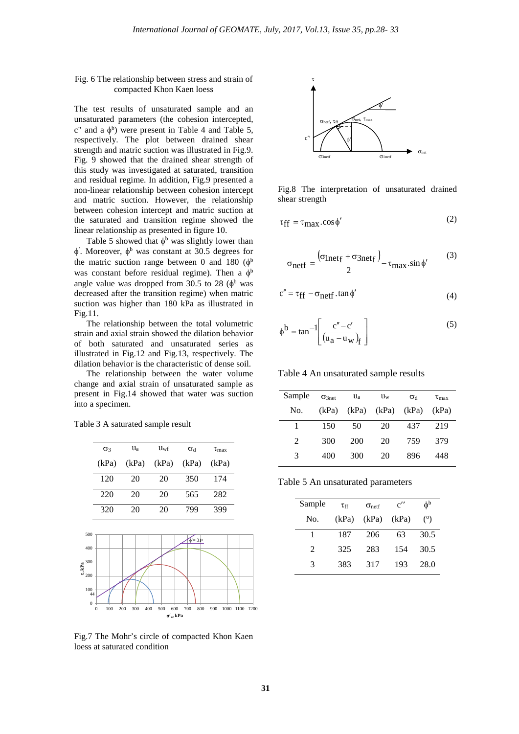#### Fig. 6 The relationship between stress and strain of compacted Khon Kaen loess

The test results of unsaturated sample and an unsaturated parameters (the cohesion intercepted, c" and a  $\phi^b$ ) were present in Table 4 and Table 5, respectively. The plot between drained shear strength and matric suction was illustrated in Fig.9. Fig. 9 showed that the drained shear strength of this study was investigated at saturated, transition and residual regime. In addition, Fig.9 presented a non-linear relationship between cohesion intercept and matric suction. However, the relationship between cohesion intercept and matric suction at the saturated and transition regime showed the linear relationship as presented in figure 10.

Table 5 showed that  $\phi^b$  was slightly lower than  $\phi'$ . Moreover,  $\phi^b$  was constant at 30.5 degrees for the matric suction range between 0 and 180  $(\phi^b)$ was constant before residual regime). Then a  $\phi^b$ angle value was dropped from 30.5 to 28  $(\phi^b)$  was decreased after the transition regime) when matric suction was higher than 180 kPa as illustrated in Fig.11.

The relationship between the total volumetric strain and axial strain showed the dilation behavior of both saturated and unsaturated series as illustrated in Fig.12 and Fig.13, respectively. The dilation behavior is the characteristic of dense soil.

The relationship between the water volume change and axial strain of unsaturated sample as present in Fig.14 showed that water was suction into a specimen.

Table 3 A saturated sample result



Fig.7 The Mohr's circle of compacted Khon Kaen loess at saturated condition



Fig.8 The interpretation of unsaturated drained shear strength

$$
\tau_{\rm ff} = \tau_{\rm max} \cdot \cos \phi' \tag{2}
$$

$$
\sigma_{\text{neff}} = \frac{(\sigma_{\text{Inetf}} + \sigma_{\text{3netf}})}{2} - \tau_{\text{max}}.\sin\phi' \tag{3}
$$

$$
c'' = \tau_{ff} - \sigma_{neff} . \tan \phi'
$$
 (4)

$$
\phi^{\mathbf{b}} = \tan^{-1} \left[ \frac{c'' - c'}{(u_a - u_w)_f} \right] \tag{5}
$$

Table 4 An unsaturated sample results

| Sample | $\sigma$ 3net | $\mathbf{u}_a$ | $u_{w}$ | $\sigma_{\rm d}$ | $\tau_{\rm max}$ |
|--------|---------------|----------------|---------|------------------|------------------|
| No.    | (kPa)         | (kPa)          | (kPa)   | (kPa)            | (kPa)            |
| 1      | 150           | 50             | 20      | 437              | 219              |
| 2      | 300           | 200            | 20      | 759              | 379              |
| 3      | 400           | 300            | 20      | 896              | 448              |

Table 5 An unsaturated parameters

| Sample                      | $\tau_{\rm ff}$ | $\sigma_{\text{neff}}$ | $c^{\prime\prime}$ | $\phi^{\rm b}$ |
|-----------------------------|-----------------|------------------------|--------------------|----------------|
| No.                         | (kPa)           | (kPa)                  | (kPa)              | $^{\circ}$     |
| 1                           | 187             | 206                    | 63                 | 30.5           |
| $\mathcal{D}_{\mathcal{L}}$ | 325             | 283                    | 154                | 30.5           |
| 3                           | 383             | 317                    | 193                | 28.0           |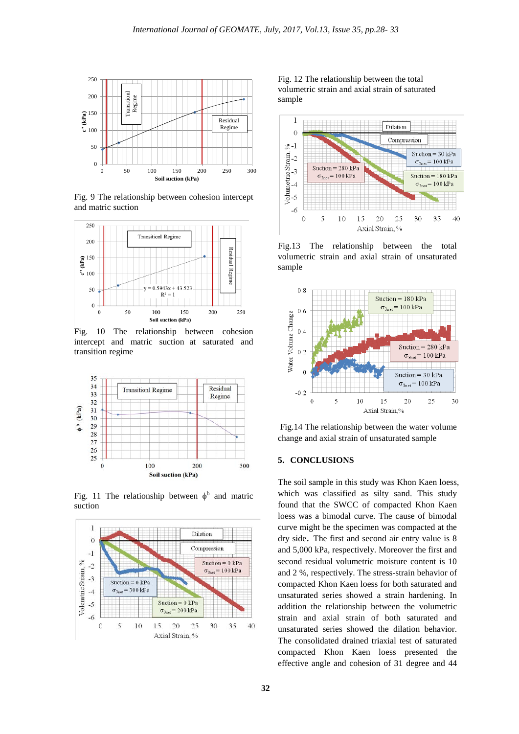

Fig. 9 The relationship between cohesion intercept and matric suction



Fig. 10 The relationship between cohesion intercept and matric suction at saturated and transition regime



Fig. 11 The relationship between  $\phi^b$  and matric suction



Fig. 12 The relationship between the total volumetric strain and axial strain of saturated sample



Fig.13 The relationship between the total volumetric strain and axial strain of unsaturated sample



Fig.14 The relationship between the water volume change and axial strain of unsaturated sample

### **5. CONCLUSIONS**

The soil sample in this study was Khon Kaen loess, which was classified as silty sand. This study found that the SWCC of compacted Khon Kaen loess was a bimodal curve. The cause of bimodal curve might be the specimen was compacted at the dry side. The first and second air entry value is 8 and 5,000 kPa, respectively. Moreover the first and second residual volumetric moisture content is 10 and 2 %, respectively. The stress-strain behavior of compacted Khon Kaen loess for both saturated and unsaturated series showed a strain hardening. In addition the relationship between the volumetric strain and axial strain of both saturated and unsaturated series showed the dilation behavior. The consolidated drained triaxial test of saturated compacted Khon Kaen loess presented the effective angle and cohesion of 31 degree and 44